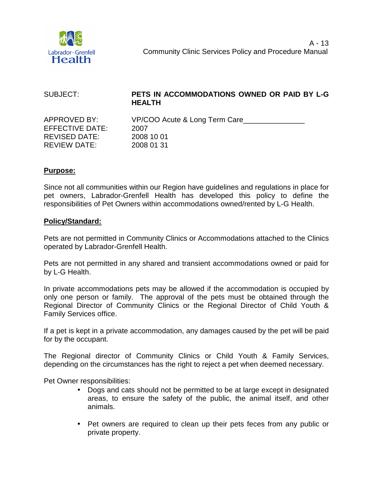

| SUBJECT:             | PETS IN ACCOMMODATIONS OWNED OR PAID BY L-G<br><b>HEALTH</b> |
|----------------------|--------------------------------------------------------------|
| APPROVED BY:         | VP/COO Acute & Long Term Care                                |
| EFFECTIVE DATE:      | 2007                                                         |
| <b>REVISED DATE:</b> | 2008 10 01                                                   |
| REVIEW DATE:         | 2008 01 31                                                   |

## **Purpose:**

Since not all communities within our Region have guidelines and regulations in place for pet owners, Labrador-Grenfell Health has developed this policy to define the responsibilities of Pet Owners within accommodations owned/rented by L-G Health.

## **Policy/Standard:**

Pets are not permitted in Community Clinics or Accommodations attached to the Clinics operated by Labrador-Grenfell Health.

Pets are not permitted in any shared and transient accommodations owned or paid for by L-G Health.

In private accommodations pets may be allowed if the accommodation is occupied by only one person or family. The approval of the pets must be obtained through the Regional Director of Community Clinics or the Regional Director of Child Youth & Family Services office.

If a pet is kept in a private accommodation, any damages caused by the pet will be paid for by the occupant.

The Regional director of Community Clinics or Child Youth & Family Services, depending on the circumstances has the right to reject a pet when deemed necessary.

Pet Owner responsibilities:

- Dogs and cats should not be permitted to be at large except in designated areas, to ensure the safety of the public, the animal itself, and other animals.
- Pet owners are required to clean up their pets feces from any public or private property.